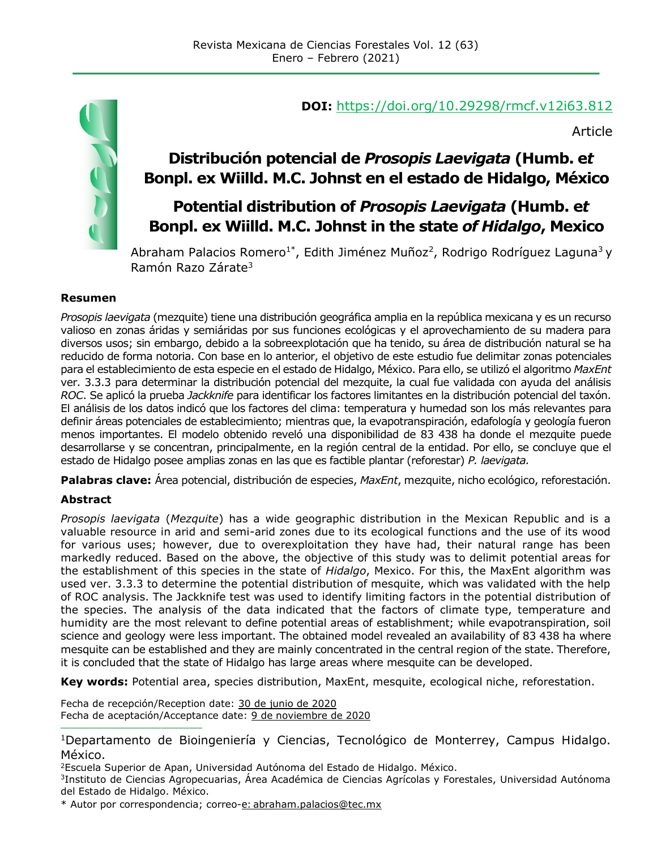

#### **DOI:** <https://doi.org/10.29298/rmcf.v12i63.812>

Article

## **Distribución potencial de** *Prosopis Laevigata* **(Humb. e***t* **Bonpl. ex Wiilld. M.C. Johnst en el estado de Hidalgo, México**

## **Potential distribution of** *Prosopis Laevigata* **(Humb. e***t* **Bonpl. ex Wiilld. M.C. Johnst in the state** *of Hidalgo***, Mexico**

Abraham Palacios Romero<sup>1\*</sup>, Edith Jiménez Muñoz<sup>2</sup>, Rodrigo Rodríguez Laguna<sup>3</sup>y Ramón Razo Zárate<sup>3</sup>

#### **Resumen**

*Prosopis laevigata* (mezquite) tiene una distribución geográfica amplia en la república mexicana y es un recurso valioso en zonas áridas y semiáridas por sus funciones ecológicas y el aprovechamiento de su madera para diversos usos; sin embargo, debido a la sobreexplotación que ha tenido, su área de distribución natural se ha reducido de forma notoria. Con base en lo anterior, el objetivo de este estudio fue delimitar zonas potenciales para el establecimiento de esta especie en el estado de Hidalgo, México. Para ello, se utilizó el algoritmo *MaxEnt* ver. 3.3.3 para determinar la distribución potencial del mezquite, la cual fue validada con ayuda del análisis *ROC*. Se aplicó la prueba *Jackknife* para identificar los factores limitantes en la distribución potencial del taxón. El análisis de los datos indicó que los factores del clima: temperatura y humedad son los más relevantes para definir áreas potenciales de establecimiento; mientras que, la evapotranspiración, edafología y geología fueron menos importantes. El modelo obtenido reveló una disponibilidad de 83 438 ha donde el mezquite puede desarrollarse y se concentran, principalmente, en la región central de la entidad. Por ello, se concluye que el estado de Hidalgo posee amplias zonas en las que es factible plantar (reforestar) *P. laevigata.*

**Palabras clave:** Área potencial, distribución de especies, *MaxEnt*, mezquite, nicho ecológico, reforestación.

#### **Abstract**

*Prosopis laevigata* (*Mezquite*) has a wide geographic distribution in the Mexican Republic and is a valuable resource in arid and semi-arid zones due to its ecological functions and the use of its wood for various uses; however, due to overexploitation they have had, their natural range has been markedly reduced. Based on the above, the objective of this study was to delimit potential areas for the establishment of this species in the state of *Hidalgo*, Mexico. For this, the MaxEnt algorithm was used ver. 3.3.3 to determine the potential distribution of mesquite, which was validated with the help of ROC analysis. The Jackknife test was used to identify limiting factors in the potential distribution of the species. The analysis of the data indicated that the factors of climate type, temperature and humidity are the most relevant to define potential areas of establishment; while evapotranspiration, soil science and geology were less important. The obtained model revealed an availability of 83 438 ha where mesquite can be established and they are mainly concentrated in the central region of the state. Therefore, it is concluded that the state of Hidalgo has large areas where mesquite can be developed.

**Key words:** Potential area, species distribution, MaxEnt, mesquite, ecological niche, reforestation.

Fecha de recepción/Reception date: 30 de junio de 2020 Fecha de aceptación/Acceptance date: 9 de noviembre de 2020 **\_\_\_\_\_\_\_\_\_\_\_\_\_\_\_\_\_\_\_\_\_\_\_\_\_\_\_\_\_\_\_**

<sup>1</sup>Departamento de Bioingeniería y Ciencias, Tecnológico de Monterrey, Campus Hidalgo. México.

<sup>2</sup>Escuela Superior de Apan, Universidad Autónoma del Estado de Hidalgo. México.

<sup>3</sup>Instituto de Ciencias Agropecuarias, Área Académica de Ciencias Agrícolas y Forestales, Universidad Autónoma del Estado de Hidalgo. México.

\* Autor por correspondencia; correo-e: [abraham.palacios@tec.mx](mailto:abraham.palacios.romero@gmail.com)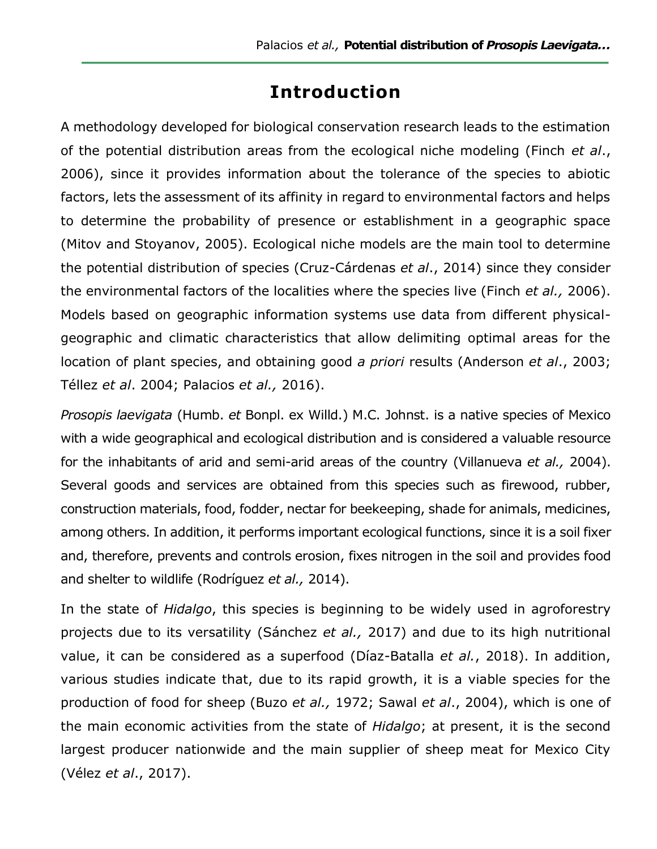# **Introduction**

A methodology developed for biological conservation research leads to the estimation of the potential distribution areas from the ecological niche modeling (Finch *et al*., 2006), since it provides information about the tolerance of the species to abiotic factors, lets the assessment of its affinity in regard to environmental factors and helps to determine the probability of presence or establishment in a geographic space (Mitov and Stoyanov, 2005). Ecological niche models are the main tool to determine the potential distribution of species (Cruz-Cárdenas *et al*., 2014) since they consider the environmental factors of the localities where the species live (Finch *et al.,* 2006). Models based on geographic information systems use data from different physicalgeographic and climatic characteristics that allow delimiting optimal areas for the location of plant species, and obtaining good *a priori* results (Anderson *et al*., 2003; Téllez *et al*. 2004; Palacios *et al.,* 2016).

*Prosopis laevigata* (Humb. *et* Bonpl. ex Willd.) M.C. Johnst. is a native species of Mexico with a wide geographical and ecological distribution and is considered a valuable resource for the inhabitants of arid and semi-arid areas of the country (Villanueva *et al.,* 2004). Several goods and services are obtained from this species such as firewood, rubber, construction materials, food, fodder, nectar for beekeeping, shade for animals, medicines, among others. In addition, it performs important ecological functions, since it is a soil fixer and, therefore, prevents and controls erosion, fixes nitrogen in the soil and provides food and shelter to wildlife (Rodríguez *et al.,* 2014).

In the state of *Hidalgo*, this species is beginning to be widely used in agroforestry projects due to its versatility (Sánchez *et al.,* 2017) and due to its high nutritional value, it can be considered as a superfood (Díaz-Batalla *et al.*, 2018). In addition, various studies indicate that, due to its rapid growth, it is a viable species for the production of food for sheep (Buzo *et al.,* 1972; Sawal *et al*., 2004), which is one of the main economic activities from the state of *Hidalgo*; at present, it is the second largest producer nationwide and the main supplier of sheep meat for Mexico City (Vélez *et al*., 2017).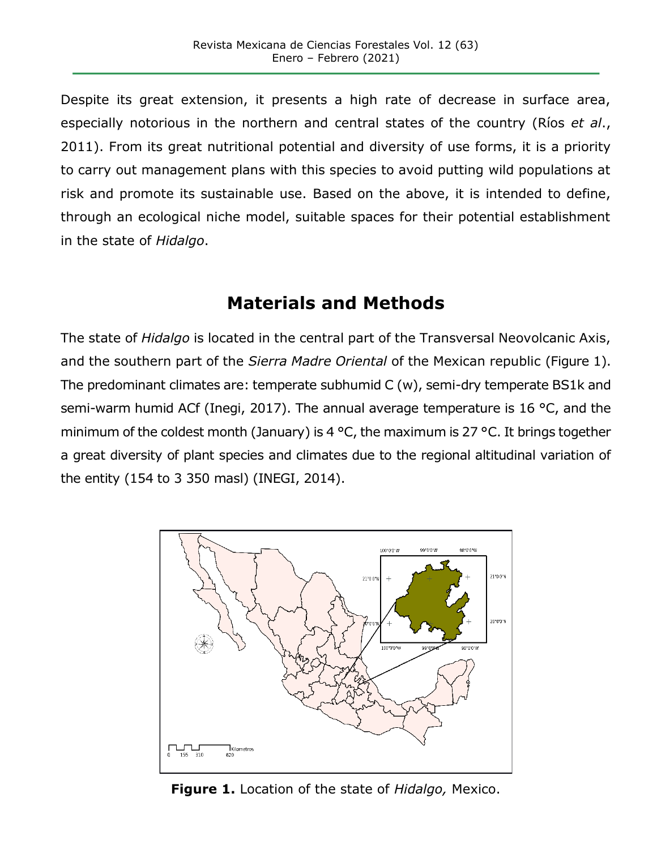Despite its great extension, it presents a high rate of decrease in surface area, especially notorious in the northern and central states of the country (Ríos *et al*., 2011). From its great nutritional potential and diversity of use forms, it is a priority to carry out management plans with this species to avoid putting wild populations at risk and promote its sustainable use. Based on the above, it is intended to define, through an ecological niche model, suitable spaces for their potential establishment in the state of *Hidalgo*.

# **Materials and Methods**

The state of *Hidalgo* is located in the central part of the Transversal Neovolcanic Axis, and the southern part of the *Sierra Madre Oriental* of the Mexican republic (Figure 1). The predominant climates are: temperate subhumid C (w), semi-dry temperate BS1k and semi-warm humid ACf (Inegi, 2017). The annual average temperature is 16 °C, and the minimum of the coldest month (January) is 4 °C, the maximum is 27 °C. It brings together a great diversity of plant species and climates due to the regional altitudinal variation of the entity (154 to 3 350 masl) (INEGI, 2014).



**Figure 1.** Location of the state of *Hidalgo,* Mexico.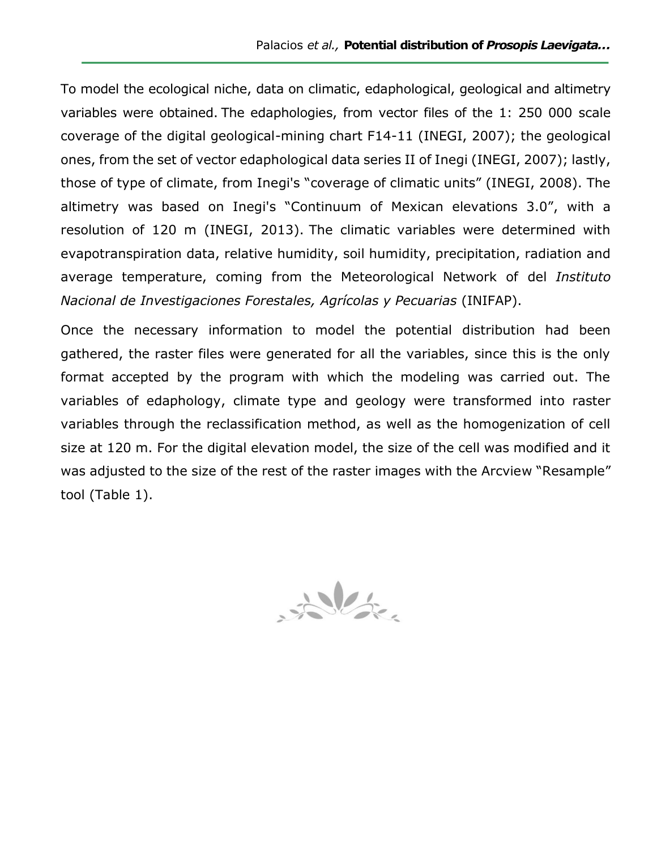To model the ecological niche, data on climatic, edaphological, geological and altimetry variables were obtained. The edaphologies, from vector files of the 1: 250 000 scale coverage of the digital geological-mining chart F14-11 (INEGI, 2007); the geological ones, from the set of vector edaphological data series II of Inegi (INEGI, 2007); lastly, those of type of climate, from Inegi's "coverage of climatic units" (INEGI, 2008). The altimetry was based on Inegi's "Continuum of Mexican elevations 3.0", with a resolution of 120 m (INEGI, 2013). The climatic variables were determined with evapotranspiration data, relative humidity, soil humidity, precipitation, radiation and average temperature, coming from the Meteorological Network of del *Instituto Nacional de Investigaciones Forestales, Agrícolas y Pecuarias* (INIFAP).

Once the necessary information to model the potential distribution had been gathered, the raster files were generated for all the variables, since this is the only format accepted by the program with which the modeling was carried out. The variables of edaphology, climate type and geology were transformed into raster variables through the reclassification method, as well as the homogenization of cell size at 120 m. For the digital elevation model, the size of the cell was modified and it was adjusted to the size of the rest of the raster images with the Arcview "Resample" tool (Table 1).

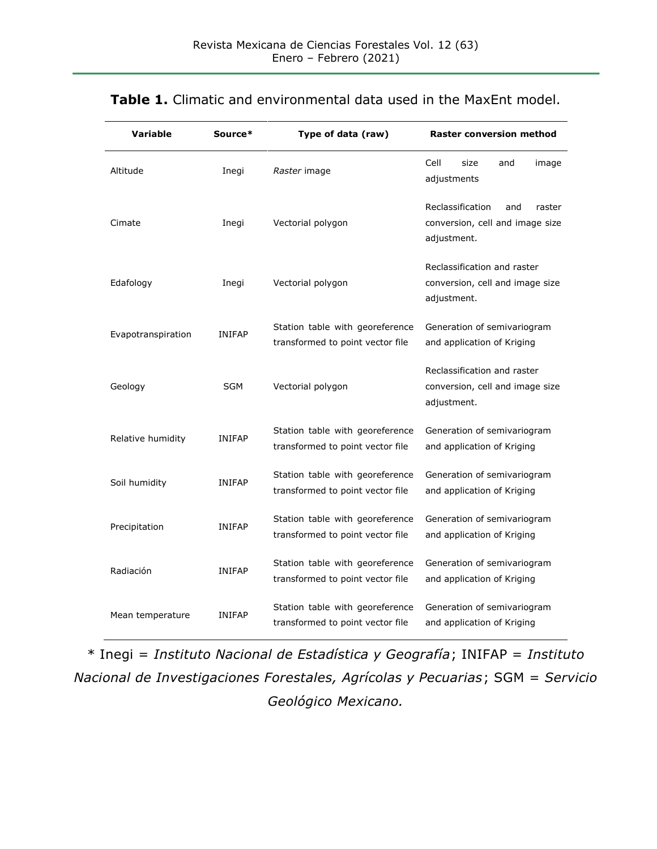| Variable           | Source*       | Type of data (raw)                                                  | <b>Raster conversion method</b>                                                     |
|--------------------|---------------|---------------------------------------------------------------------|-------------------------------------------------------------------------------------|
| Altitude           | Inegi         | Raster image                                                        | Cell<br>size<br>and<br>image<br>adjustments                                         |
| Cimate             | Inegi         | Vectorial polygon                                                   | Reclassification<br>and<br>raster<br>conversion, cell and image size<br>adjustment. |
| Edafology          | Inegi         | Vectorial polygon                                                   | Reclassification and raster<br>conversion, cell and image size<br>adjustment.       |
| Evapotranspiration | <b>INIFAP</b> | Station table with georeference<br>transformed to point vector file | Generation of semivariogram<br>and application of Kriging                           |
| Geology            | SGM           | Vectorial polygon                                                   | Reclassification and raster<br>conversion, cell and image size<br>adjustment.       |
| Relative humidity  | <b>INIFAP</b> | Station table with georeference<br>transformed to point vector file | Generation of semivariogram<br>and application of Kriging                           |
| Soil humidity      | <b>INIFAP</b> | Station table with georeference<br>transformed to point vector file | Generation of semivariogram<br>and application of Kriging                           |
| Precipitation      | <b>INIFAP</b> | Station table with georeference<br>transformed to point vector file | Generation of semivariogram<br>and application of Kriging                           |
| Radiación          | <b>INIFAP</b> | Station table with georeference<br>transformed to point vector file | Generation of semivariogram<br>and application of Kriging                           |
| Mean temperature   | <b>INIFAP</b> | Station table with georeference<br>transformed to point vector file | Generation of semivariogram<br>and application of Kriging                           |

#### **Table 1.** Climatic and environmental data used in the MaxEnt model.

\* Inegi = *Instituto Nacional de Estadística y Geografía*; INIFAP = *Instituto Nacional de Investigaciones Forestales, Agrícolas y Pecuarias*; SGM = *Servicio Geológico Mexicano.*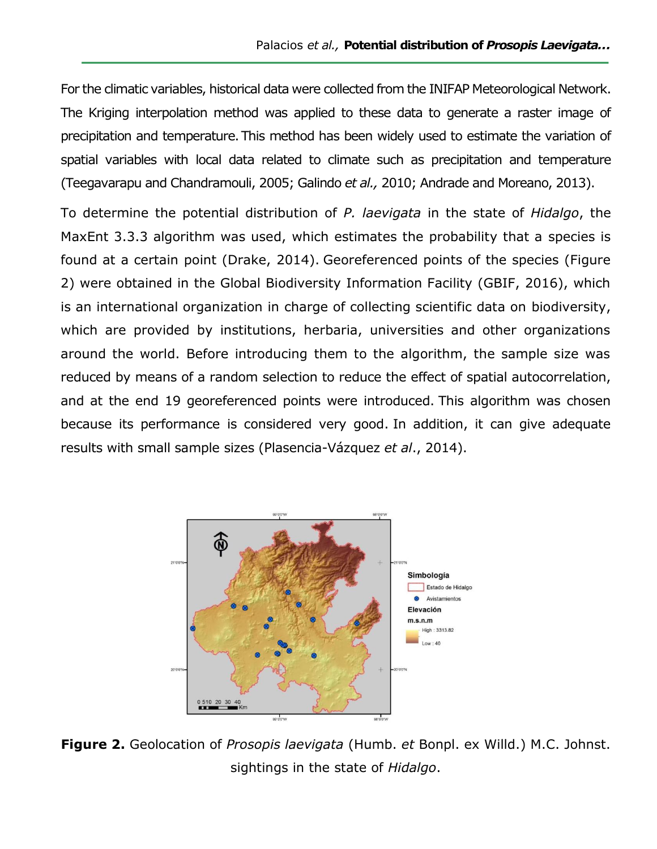For the climatic variables, historical data were collected from the INIFAP Meteorological Network. The Kriging interpolation method was applied to these data to generate a raster image of precipitation and temperature.This method has been widely used to estimate the variation of spatial variables with local data related to climate such as precipitation and temperature (Teegavarapu and Chandramouli, 2005; Galindo *et al.,* 2010; Andrade and Moreano, 2013).

To determine the potential distribution of *P. laevigata* in the state of *Hidalgo*, the MaxEnt 3.3.3 algorithm was used, which estimates the probability that a species is found at a certain point (Drake, 2014). Georeferenced points of the species (Figure 2) were obtained in the Global Biodiversity Information Facility (GBIF, 2016), which is an international organization in charge of collecting scientific data on biodiversity, which are provided by institutions, herbaria, universities and other organizations around the world. Before introducing them to the algorithm, the sample size was reduced by means of a random selection to reduce the effect of spatial autocorrelation, and at the end 19 georeferenced points were introduced. This algorithm was chosen because its performance is considered very good. In addition, it can give adequate results with small sample sizes (Plasencia-Vázquez *et al*., 2014).



**Figure 2.** Geolocation of *Prosopis laevigata* (Humb. *et* Bonpl. ex Willd.) M.C. Johnst. sightings in the state of *Hidalgo*.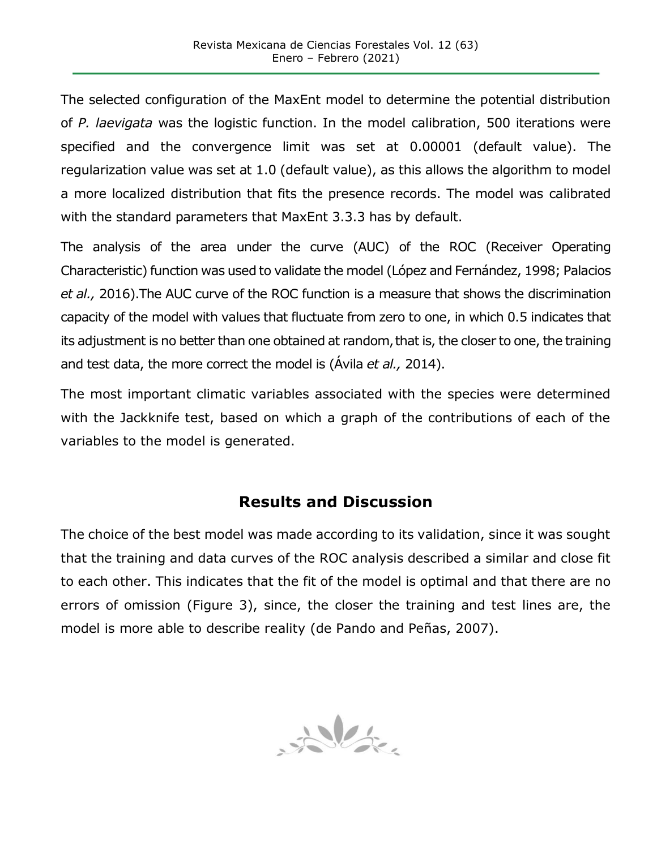The selected configuration of the MaxEnt model to determine the potential distribution of *P. laevigata* was the logistic function. In the model calibration, 500 iterations were specified and the convergence limit was set at 0.00001 (default value). The regularization value was set at 1.0 (default value), as this allows the algorithm to model a more localized distribution that fits the presence records. The model was calibrated with the standard parameters that MaxEnt 3.3.3 has by default.

The analysis of the area under the curve (AUC) of the ROC (Receiver Operating Characteristic) function was used to validate the model (López and Fernández, 1998; Palacios *et al.,* 2016).The AUC curve of the ROC function is a measure that shows the discrimination capacity of the model with values that fluctuate from zero to one, in which 0.5 indicates that its adjustment is no better than one obtained at random, that is, the closer to one, the training and test data, the more correct the model is (Ávila *et al.,* 2014).

The most important climatic variables associated with the species were determined with the Jackknife test, based on which a graph of the contributions of each of the variables to the model is generated.

### **Results and Discussion**

The choice of the best model was made according to its validation, since it was sought that the training and data curves of the ROC analysis described a similar and close fit to each other. This indicates that the fit of the model is optimal and that there are no errors of omission (Figure 3), since, the closer the training and test lines are, the model is more able to describe reality (de Pando and Peñas, 2007).

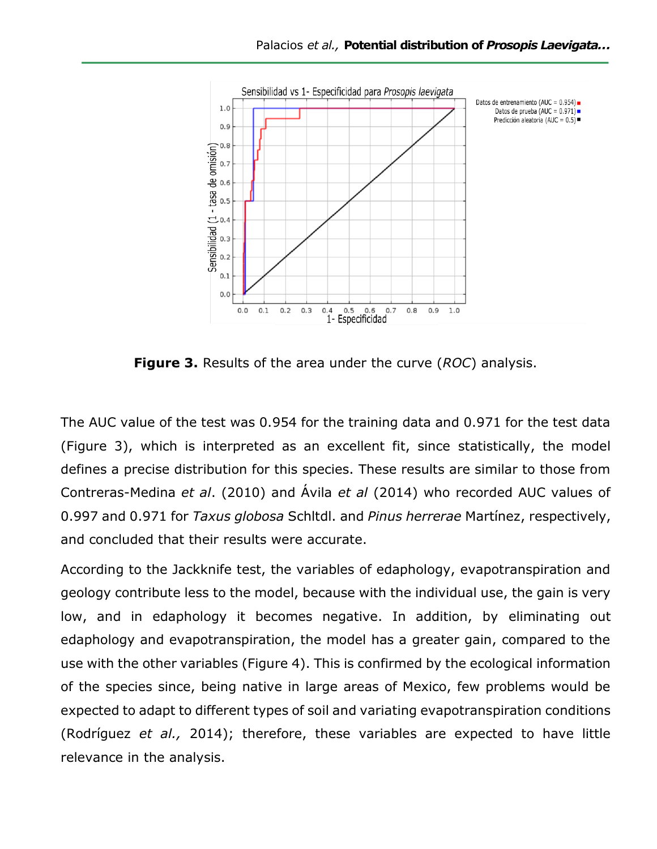

**Figure 3.** Results of the area under the curve (*ROC*) analysis.

The AUC value of the test was 0.954 for the training data and 0.971 for the test data (Figure 3), which is interpreted as an excellent fit, since statistically, the model defines a precise distribution for this species. These results are similar to those from Contreras-Medina *et al*. (2010) and Ávila *et al* (2014) who recorded AUC values of 0.997 and 0.971 for *Taxus globosa* Schltdl. and *Pinus herrerae* Martínez, respectively, and concluded that their results were accurate.

According to the Jackknife test, the variables of edaphology, evapotranspiration and geology contribute less to the model, because with the individual use, the gain is very low, and in edaphology it becomes negative. In addition, by eliminating out edaphology and evapotranspiration, the model has a greater gain, compared to the use with the other variables (Figure 4). This is confirmed by the ecological information of the species since, being native in large areas of Mexico, few problems would be expected to adapt to different types of soil and variating evapotranspiration conditions (Rodríguez *et al.,* 2014); therefore, these variables are expected to have little relevance in the analysis.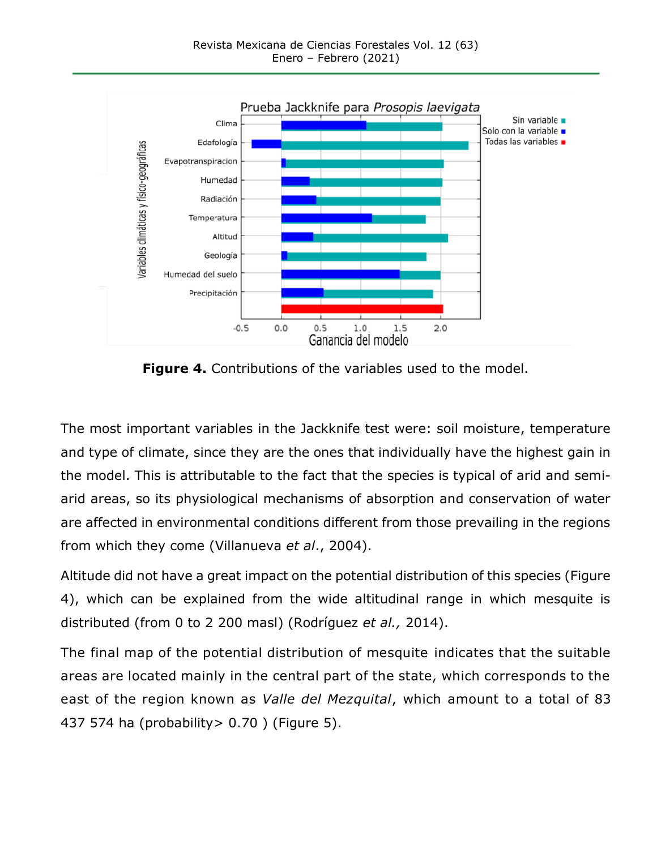

**Figure 4.** Contributions of the variables used to the model.

The most important variables in the Jackknife test were: soil moisture, temperature and type of climate, since they are the ones that individually have the highest gain in the model. This is attributable to the fact that the species is typical of arid and semiarid areas, so its physiological mechanisms of absorption and conservation of water are affected in environmental conditions different from those prevailing in the regions from which they come (Villanueva *et al*., 2004).

Altitude did not have a great impact on the potential distribution of this species (Figure 4), which can be explained from the wide altitudinal range in which mesquite is distributed (from 0 to 2 200 masl) (Rodríguez *et al.,* 2014).

The final map of the potential distribution of mesquite indicates that the suitable areas are located mainly in the central part of the state, which corresponds to the east of the region known as *Valle del Mezquital*, which amount to a total of 83 437 574 ha (probability> 0.70 ) (Figure 5).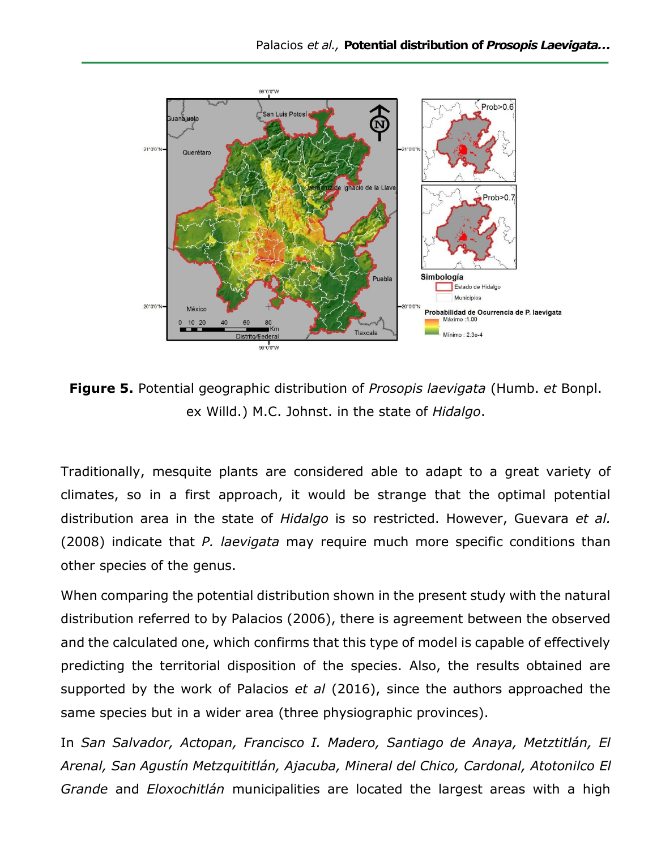

**Figure 5.** Potential geographic distribution of *Prosopis laevigata* (Humb. *et* Bonpl. ex Willd.) M.C. Johnst. in the state of *Hidalgo*.

Traditionally, mesquite plants are considered able to adapt to a great variety of climates, so in a first approach, it would be strange that the optimal potential distribution area in the state of *Hidalgo* is so restricted. However, Guevara *et al.* (2008) indicate that *P. laevigata* may require much more specific conditions than other species of the genus.

When comparing the potential distribution shown in the present study with the natural distribution referred to by Palacios (2006), there is agreement between the observed and the calculated one, which confirms that this type of model is capable of effectively predicting the territorial disposition of the species. Also, the results obtained are supported by the work of Palacios *et al* (2016), since the authors approached the same species but in a wider area (three physiographic provinces).

In *San Salvador, Actopan, Francisco I. Madero, Santiago de Anaya, Metztitlán, El Arenal, San Agustín Metzquititlán, Ajacuba, Mineral del Chico, Cardonal, Atotonilco El Grande* and *Eloxochitlán* municipalities are located the largest areas with a high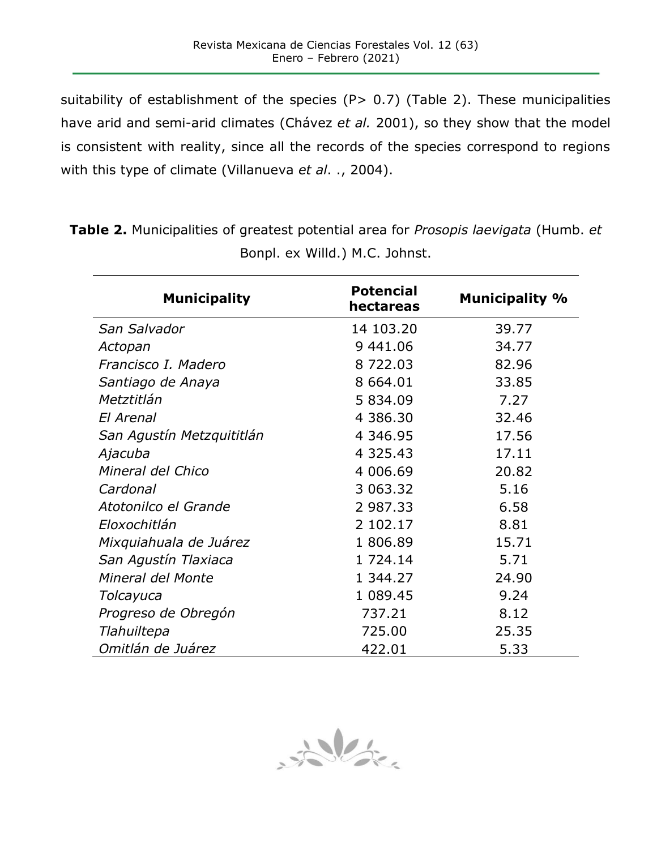suitability of establishment of the species (P> 0.7) (Table 2). These municipalities have arid and semi-arid climates (Chávez *et al.* 2001), so they show that the model is consistent with reality, since all the records of the species correspond to regions with this type of climate (Villanueva *et al*. ., 2004).

| <b>Municipality</b>       | <b>Potencial</b><br>hectareas | <b>Municipality %</b> |
|---------------------------|-------------------------------|-----------------------|
| San Salvador              | 14 103.20                     | 39.77                 |
| Actopan                   | 9 441.06                      | 34.77                 |
| Francisco I. Madero       | 8722.03                       | 82.96                 |
| Santiago de Anaya         | 8 664.01                      | 33.85                 |
| Metztitlán                | 5 834.09                      | 7.27                  |
| El Arenal                 | 4 386.30                      | 32.46                 |
| San Agustín Metzquititlán | 4 346.95                      | 17.56                 |
| Ajacuba                   | 4 3 2 5 . 4 3                 | 17.11                 |
| Mineral del Chico         | 4 006.69                      | 20.82                 |
| Cardonal                  | 3 063.32                      | 5.16                  |
| Atotonilco el Grande      | 2 987.33                      | 6.58                  |
| Eloxochitlán              | 2 102.17                      | 8.81                  |
| Mixquiahuala de Juárez    | 1 806.89                      | 15.71                 |
| San Agustín Tlaxiaca      | 1 724.14                      | 5.71                  |
| Mineral del Monte         | 1 344.27                      | 24.90                 |
| Tolcayuca                 | 1 089.45                      | 9.24                  |
| Progreso de Obregón       | 737.21                        | 8.12                  |
| Tlahuiltepa               | 725.00                        | 25.35                 |
| Omitlán de Juárez         | 422.01                        | 5.33                  |

**Table 2.** Municipalities of greatest potential area for *Prosopis laevigata* (Humb. *et* Bonpl. ex Willd.) M.C. Johnst.

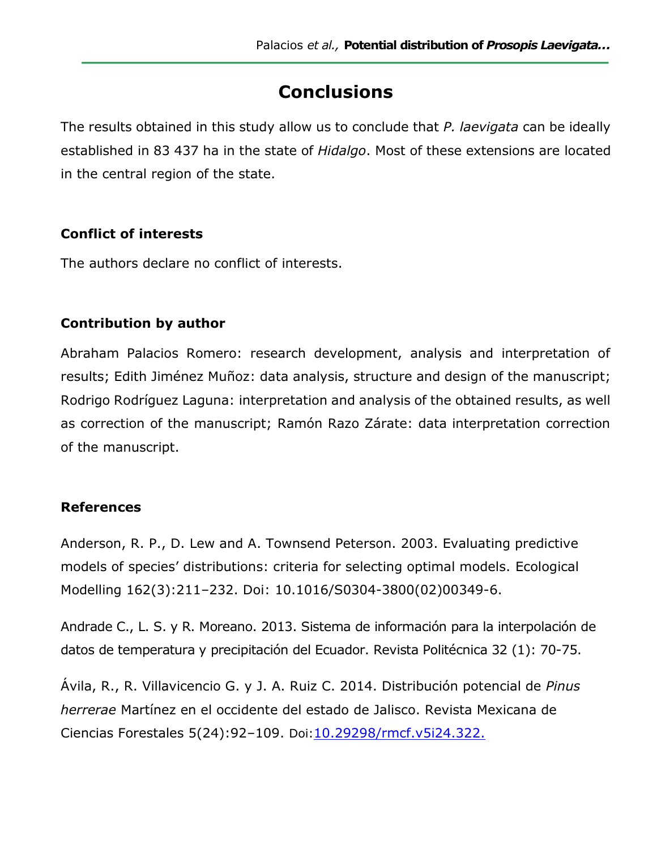# **Conclusions**

The results obtained in this study allow us to conclude that *P. laevigata* can be ideally established in 83 437 ha in the state of *Hidalgo*. Most of these extensions are located in the central region of the state.

### **Conflict of interests**

The authors declare no conflict of interests.

### **Contribution by author**

Abraham Palacios Romero: research development, analysis and interpretation of results; Edith Jiménez Muñoz: data analysis, structure and design of the manuscript; Rodrigo Rodríguez Laguna: interpretation and analysis of the obtained results, as well as correction of the manuscript; Ramón Razo Zárate: data interpretation correction of the manuscript.

### **References**

Anderson, R. P., D. Lew and A. Townsend Peterson. 2003. Evaluating predictive models of species' distributions: criteria for selecting optimal models. Ecological Modelling 162(3):211–232. Doi: 10.1016/S0304-3800(02)00349-6.

Andrade C., L. S. y R. Moreano. 2013. Sistema de información para la interpolación de datos de temperatura y precipitación del Ecuador. Revista Politécnica 32 (1): 70-75.

Ávila, R., R. Villavicencio G. y J. A. Ruiz C. 2014. Distribución potencial de *Pinus herrerae* Martínez en el occidente del estado de Jalisco. Revista Mexicana de Ciencias Forestales 5(24):92–109. Doi:[10.29298/rmcf.v5i24.322.](https://doi.org/10.29298/rmcf.v5i24.322)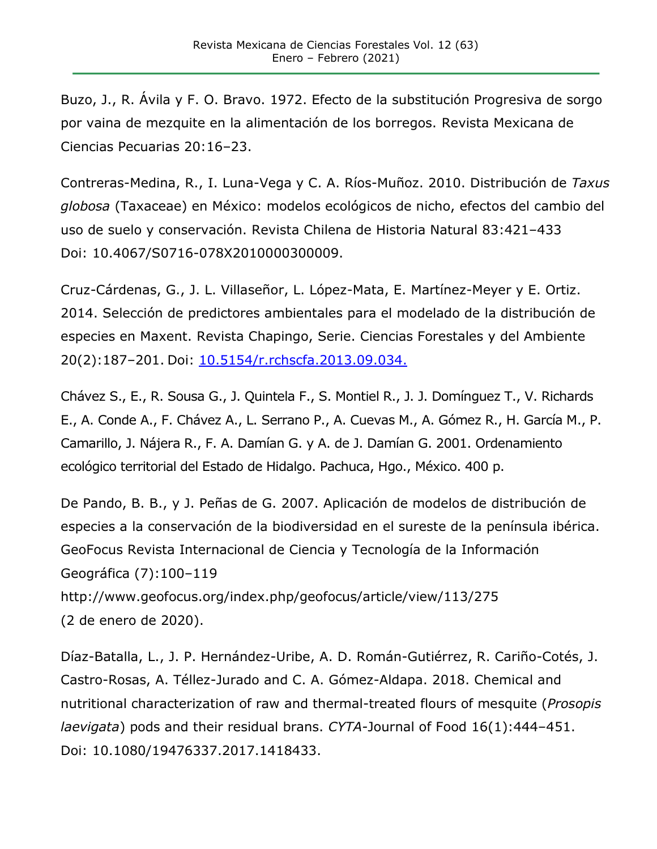Buzo, J., R. Ávila y F. O. Bravo. 1972. Efecto de la substitución Progresiva de sorgo por vaina de mezquite en la alimentación de los borregos. Revista Mexicana de Ciencias Pecuarias 20:16–23.

Contreras-Medina, R., I. Luna-Vega y C. A. Ríos-Muñoz. 2010. Distribución de *Taxus globosa* (Taxaceae) en México: modelos ecológicos de nicho, efectos del cambio del uso de suelo y conservación. Revista Chilena de Historia Natural 83:421–433 Doi: 10.4067/S0716-078X2010000300009.

Cruz-Cárdenas, G., J. L. Villaseñor, L. López-Mata, E. Martínez-Meyer y E. Ortiz. 2014. Selección de predictores ambientales para el modelado de la distribución de especies en Maxent. Revista Chapingo, Serie. Ciencias Forestales y del Ambiente 20(2):187–201. Doi: [10.5154/r.rchscfa.2013.09.034.](https://doi.org/10.5154/r.rchscfa.2013.09.034)

Chávez S., E., R. Sousa G., J. Quintela F., S. Montiel R., J. J. Domínguez T., V. Richards E., A. Conde A., F. Chávez A., L. Serrano P., A. Cuevas M., A. Gómez R., H. García M., P. Camarillo, J. Nájera R., F. A. Damían G. y A. de J. Damían G. 2001. Ordenamiento ecológico territorial del Estado de Hidalgo. Pachuca, Hgo., México. 400 p.

De Pando, B. B., y J. Peñas de G. 2007. Aplicación de modelos de distribución de especies a la conservación de la biodiversidad en el sureste de la península ibérica. GeoFocus Revista Internacional de Ciencia y Tecnología de la Información Geográfica (7):100–119

http://www.geofocus.org/index.php/geofocus/article/view/113/275 (2 de enero de 2020).

Díaz-Batalla, L., J. P. Hernández-Uribe, A. D. Román-Gutiérrez, R. Cariño-Cotés, J. Castro-Rosas, A. Téllez-Jurado and C. A. Gómez-Aldapa. 2018. Chemical and nutritional characterization of raw and thermal-treated flours of mesquite (*Prosopis laevigata*) pods and their residual brans. *CYTA-*Journal of Food 16(1):444–451. Doi: 10.1080/19476337.2017.1418433.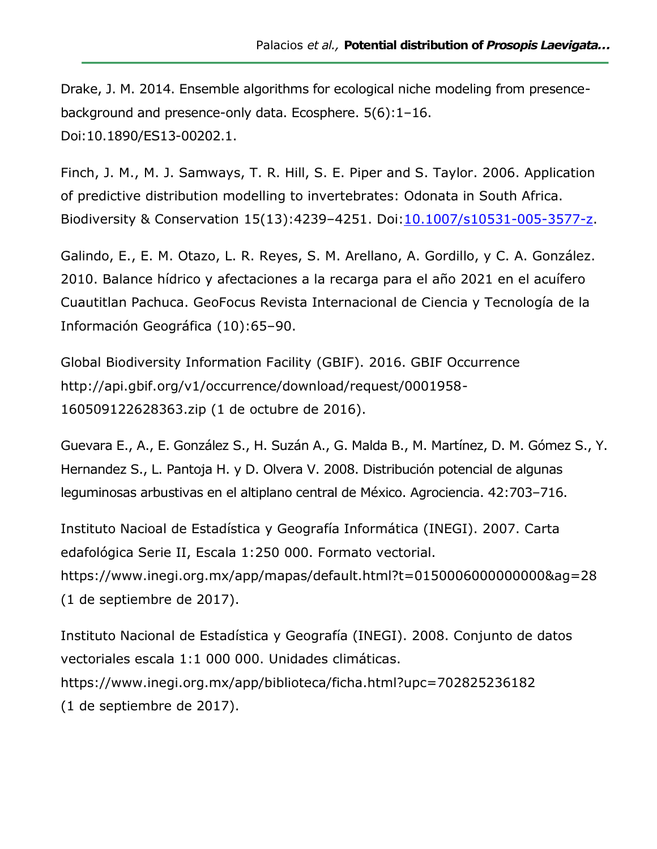Drake, J. M. 2014. Ensemble algorithms for ecological niche modeling from presencebackground and presence-only data. Ecosphere. 5(6):1–16. Doi:10.1890/ES13-00202.1.

Finch, J. M., M. J. Samways, T. R. Hill, S. E. Piper and S. Taylor. 2006. Application of predictive distribution modelling to invertebrates: Odonata in South Africa. Biodiversity & Conservation 15(13):4239–4251. Doi[:10.1007/s10531-005-3577-z.](https://doi.org/10.1007/s10531-005-3577-z)

Galindo, E., E. M. Otazo, L. R. Reyes, S. M. Arellano, A. Gordillo, y C. A. González. 2010. Balance hídrico y afectaciones a la recarga para el año 2021 en el acuífero Cuautitlan Pachuca. GeoFocus Revista Internacional de Ciencia y Tecnología de la Información Geográfica (10):65–90.

Global Biodiversity Information Facility (GBIF). 2016. GBIF Occurrence http://api.gbif.org/v1/occurrence/download/request/0001958- 160509122628363.zip (1 de octubre de 2016).

Guevara E., A., E. González S., H. Suzán A., G. Malda B., M. Martínez, D. M. Gómez S., Y. Hernandez S., L. Pantoja H. y D. Olvera V. 2008. Distribución potencial de algunas leguminosas arbustivas en el altiplano central de México. Agrociencia. 42:703–716.

Instituto Nacioal de Estadística y Geografía Informática (INEGI). 2007. Carta edafológica Serie II, Escala 1:250 000. Formato vectorial. https://www.inegi.org.mx/app/mapas/default.html?t=0150006000000000&ag=28 (1 de septiembre de 2017).

Instituto Nacional de Estadística y Geografía (INEGI). 2008. Conjunto de datos vectoriales escala 1:1 000 000. Unidades climáticas. <https://www.inegi.org.mx/app/biblioteca/ficha.html?upc=702825236182> (1 de septiembre de 2017).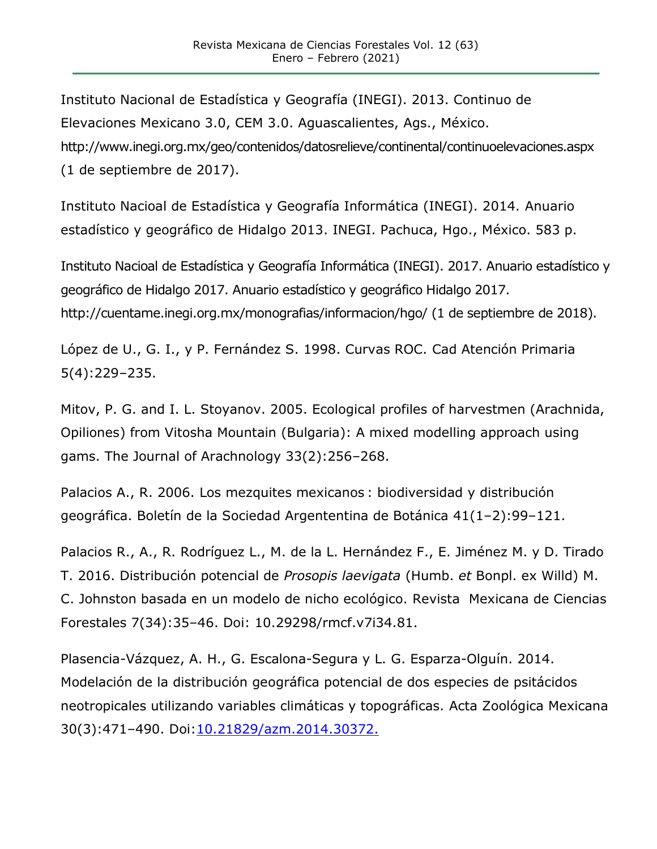Instituto Nacional de Estadística y Geografía (INEGI). 2013. Continuo de Elevaciones Mexicano 3.0, CEM 3.0. Aguascalientes, Ags., México. <http://www.inegi.org.mx/geo/contenidos/datosrelieve/continental/continuoelevaciones.aspx> (1 de septiembre de 2017).

Instituto Nacioal de Estadística y Geografía Informática (INEGI). 2014. Anuario estadístico y geográfico de Hidalgo 2013. INEGI. Pachuca, Hgo., México. 583 p.

Instituto Nacioal de Estadística y Geografía Informática (INEGI). 2017. Anuario estadístico y geográfico de Hidalgo 2017. Anuario estadístico y geográfico Hidalgo 2017. http://cuentame.inegi.org.mx/monografias/informacion/hgo/ (1 de septiembre de 2018).

López de U., G. I., y P. Fernández S. 1998. Curvas ROC. Cad Atención Primaria 5(4):229–235.

Mitov, P. G. and I. L. Stoyanov. 2005. Ecological profiles of harvestmen (Arachnida, Opiliones) from Vitosha Mountain (Bulgaria): A mixed modelling approach using gams. The Journal of Arachnology 33(2):256–268.

Palacios A., R. 2006. Los mezquites mexicanos : biodiversidad y distribución geográfica. Boletín de la Sociedad Argententina de Botánica 41(1–2):99–121.

Palacios R., A., R. Rodríguez L., M. de la L. Hernández F., E. Jiménez M. y D. Tirado T. 2016. Distribución potencial de *Prosopis laevigata* (Humb. *et* Bonpl. ex Willd) M. C. Johnston basada en un modelo de nicho ecológico. Revista Mexicana de Ciencias Forestales 7(34):35–46. Doi: 10.29298/rmcf.v7i34.81.

Plasencia-Vázquez, A. H., G. Escalona-Segura y L. G. Esparza-Olguín. 2014. Modelación de la distribución geográfica potencial de dos especies de psitácidos neotropicales utilizando variables climáticas y topográficas. Acta Zoológica Mexicana 30(3):471–490. Doi[:10.21829/azm.2014.30372.](https://www.researchgate.net/deref/http%3A%2F%2Fdx.doi.org%2F10.21829%2Fazm.2014.30372)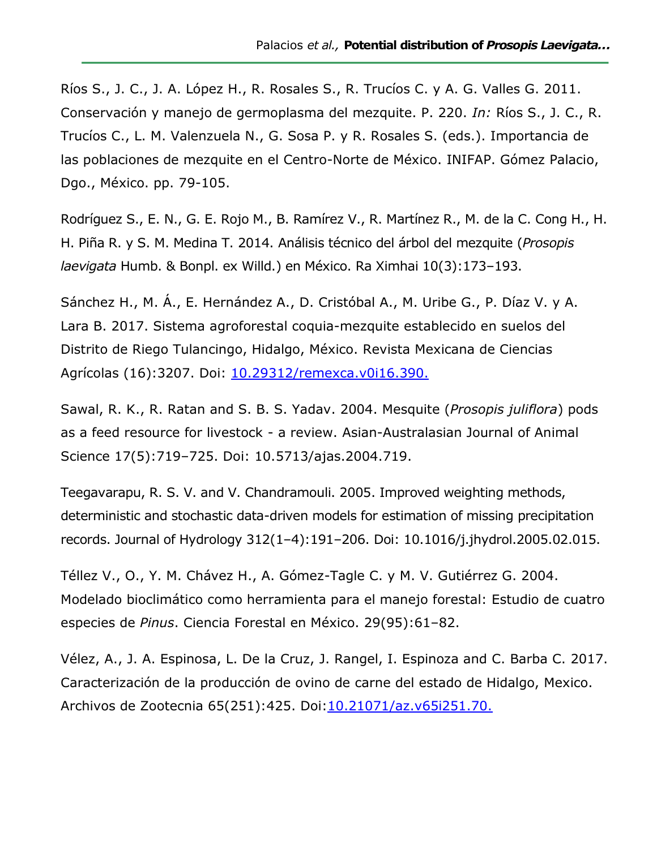Ríos S., J. C., J. A. López H., R. Rosales S., R. Trucíos C. y A. G. Valles G. 2011. Conservación y manejo de germoplasma del mezquite. P. 220. *In:* Ríos S., J. C., R. Trucíos C., L. M. Valenzuela N., G. Sosa P. y R. Rosales S. (eds.). Importancia de las poblaciones de mezquite en el Centro-Norte de México. INIFAP. Gómez Palacio, Dgo., México. pp. 79-105.

Rodríguez S., E. N., G. E. Rojo M., B. Ramírez V., R. Martínez R., M. de la C. Cong H., H. H. Piña R. y S. M. Medina T. 2014. Análisis técnico del árbol del mezquite (*Prosopis laevigata* Humb. & Bonpl. ex Willd.) en México. Ra Ximhai 10(3):173–193.

Sánchez H., M. Á., E. Hernández A., D. Cristóbal A., M. Uribe G., P. Díaz V. y A. Lara B. 2017. Sistema agroforestal coquia-mezquite establecido en suelos del Distrito de Riego Tulancingo, Hidalgo, México. Revista Mexicana de Ciencias Agrícolas (16):3207. Doi: [10.29312/remexca.v0i16.390.](https://doi.org/10.29312/remexca.v0i16.390)

Sawal, R. K., R. Ratan and S. B. S. Yadav. 2004. Mesquite (*Prosopis juliflora*) pods as a feed resource for livestock - a review. Asian-Australasian Journal of Animal Science 17(5):719–725. Doi: 10.5713/ajas.2004.719.

Teegavarapu, R. S. V. and V. Chandramouli. 2005. Improved weighting methods, deterministic and stochastic data-driven models for estimation of missing precipitation records. Journal of Hydrology 312(1–4):191–206. Doi: 10.1016/j.jhydrol.2005.02.015.

Téllez V., O., Y. M. Chávez H., A. Gómez-Tagle C. y M. V. Gutiérrez G. 2004. Modelado bioclimático como herramienta para el manejo forestal: Estudio de cuatro especies de *Pinus*. Ciencia Forestal en México. 29(95):61–82.

Vélez, A., J. A. Espinosa, L. De la Cruz, J. Rangel, I. Espinoza and C. Barba C. 2017. Caracterización de la producción de ovino de carne del estado de Hidalgo, Mexico. Archivos de Zootecnia 65(251):425. Doi[:10.21071/az.v65i251.70.](https://www.researchgate.net/deref/http%3A%2F%2Fdx.doi.org%2F10.21071%2Faz.v65i251.708)